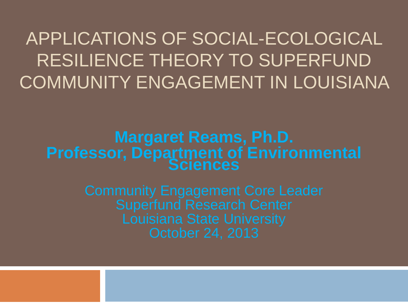### APPLICATIONS OF SOCIAL-ECOLOGICAL RESILIENCE THEORY TO SUPERFUND COMMUNITY ENGAGEMENT IN LOUISIANA

### **Margaret Reams, Ph.D. Professor, Department of Environmental Sciences**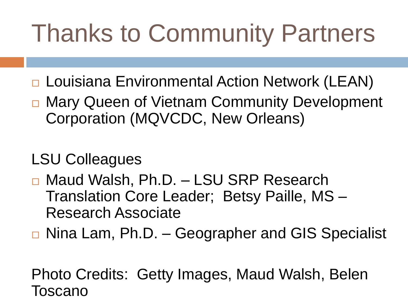# Thanks to Community Partners

- Louisiana Environmental Action Network (LEAN)
- **□ Mary Queen of Vietnam Community Development** Corporation (MQVCDC, New Orleans)
- LSU Colleagues
- Maud Walsh, Ph.D. LSU SRP Research Translation Core Leader; Betsy Paille, MS – Research Associate
- **□ Nina Lam, Ph.D. Geographer and GIS Specialist**

Photo Credits: Getty Images, Maud Walsh, Belen Toscano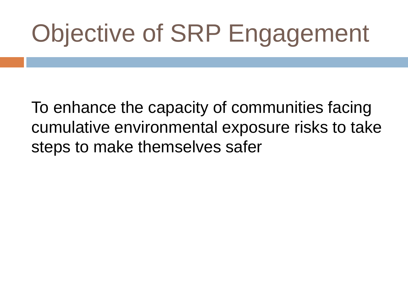# Objective of SRP Engagement

To enhance the capacity of communities facing cumulative environmental exposure risks to take steps to make themselves safer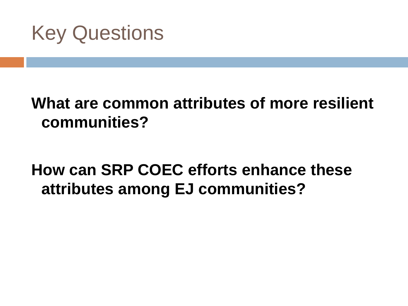

#### **What are common attributes of more resilient communities?**

#### **How can SRP COEC efforts enhance these attributes among EJ communities?**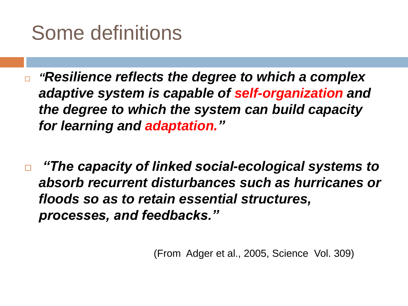### Some definitions

 *"Resilience reflects the degree to which a complex adaptive system is capable of self-organization and the degree to which the system can build capacity for learning and adaptation."* 

 *"The capacity of linked social-ecological systems to absorb recurrent disturbances such as hurricanes or floods so as to retain essential structures, processes, and feedbacks."*

(From Adger et al., 2005, Science Vol. 309)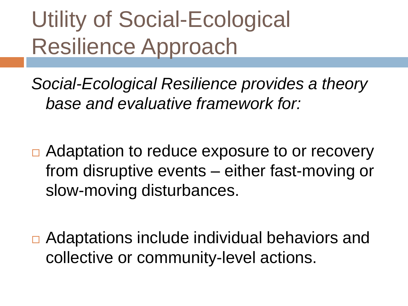### Utility of Social-Ecological Resilience Approach

*Social-Ecological Resilience provides a theory base and evaluative framework for:* 

- □ Adaptation to reduce exposure to or recovery from disruptive events – either fast-moving or slow-moving disturbances.
- **□ Adaptations include individual behaviors and** collective or community-level actions.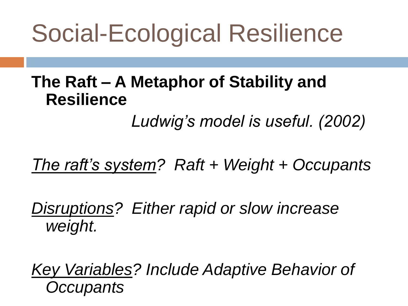# Social-Ecological Resilience

### **The Raft – A Metaphor of Stability and Resilience**

*Ludwig's model is useful. (2002)*

*The raft's system? Raft + Weight + Occupants*

*Disruptions? Either rapid or slow increase weight.*

*Key Variables? Include Adaptive Behavior of Occupants*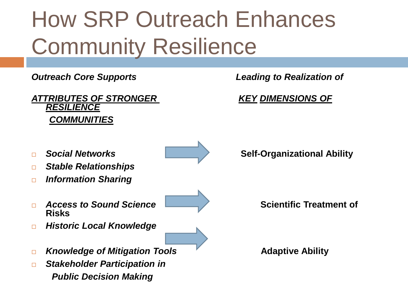### How SRP Outreach Enhances Community Resilience

*ATTRIBUTES OF STRONGER KEY DIMENSIONS OF RESILIENCE COMMUNITIES*

*Outreach Core Supports Leading to Realization of* 

- 
- *Stable Relationships*
- *Information Sharing*
- **Access to Sound Science <b>Superific** Scientific Treatment of **Risks**
- *Historic Local Knowledge*
- **EXECUTE: A Knowledge of Mitigation Tools Adaptive Ability**
- *Stakeholder Participation in Public Decision Making*



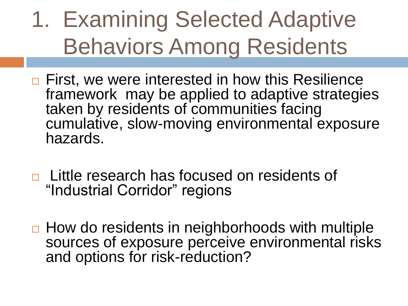1. Examining Selected Adaptive Behaviors Among Residents

- $\Box$  First, we were interested in how this Resilience framework may be applied to adaptive strategies taken by residents of communities facing cumulative, slow-moving environmental exposure hazards.
- $\Box$  Little research has focused on residents of "Industrial Corridor" regions
- $\Box$  How do residents in neighborhoods with multiple sources of exposure perceive environmental risks and options for risk-reduction?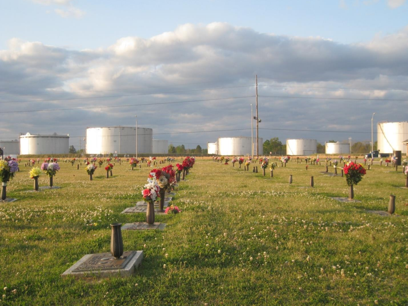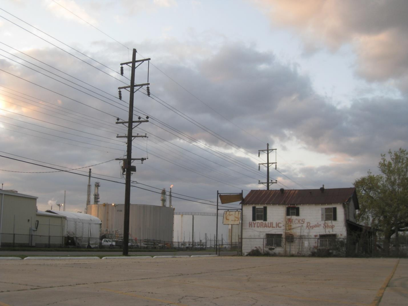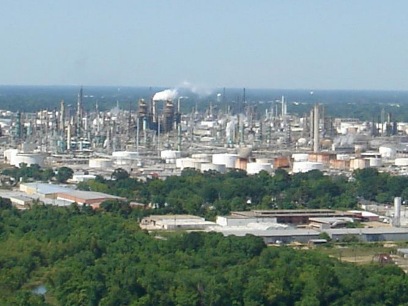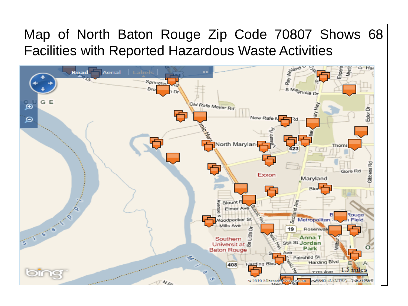#### Map of North Baton Rouge Zip Code 70807 Shows 68 Facilities with Reported Hazardous Waste Activities

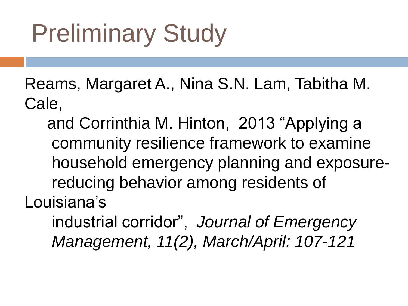# Preliminary Study

Reams, Margaret A., Nina S.N. Lam, Tabitha M. Cale,

and Corrinthia M. Hinton, 2013 "Applying a community resilience framework to examine household emergency planning and exposurereducing behavior among residents of Louisiana's

industrial corridor", *Journal of Emergency Management, 11(2), March/April: 107-121*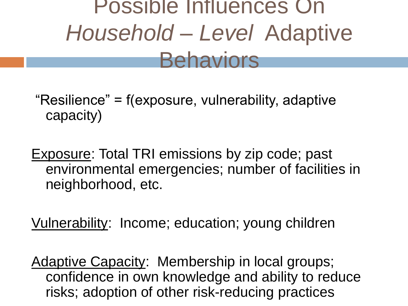### Possible Influences On *Household – Level* Adaptive Behaviors

"Resilience" = f(exposure, vulnerability, adaptive capacity)

Exposure: Total TRI emissions by zip code; past environmental emergencies; number of facilities in neighborhood, etc.

Vulnerability: Income; education; young children

Adaptive Capacity: Membership in local groups; confidence in own knowledge and ability to reduce risks; adoption of other risk-reducing practices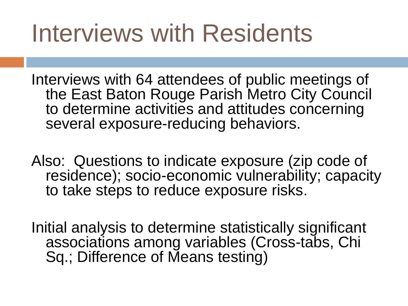## Interviews with Residents

Interviews with 64 attendees of public meetings of the East Baton Rouge Parish Metro City Council to determine activities and attitudes concerning several exposure-reducing behaviors.

Also: Questions to indicate exposure (zip code of residence); socio-economic vulnerability; capacity to take steps to reduce exposure risks.

Initial analysis to determine statistically significant associations among variables (Cross-tabs, Chi Sq.; Difference of Means testing)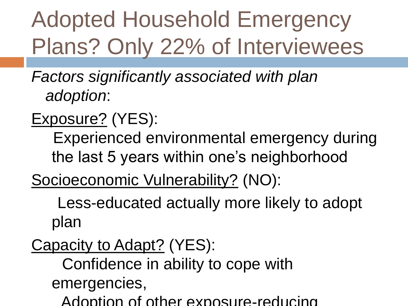### Adopted Household Emergency Plans? Only 22% of Interviewees

*Factors significantly associated with plan adoption*:

Exposure? (YES):

Experienced environmental emergency during the last 5 years within one's neighborhood

Socioeconomic Vulnerability? (NO):

Less-educated actually more likely to adopt plan

Capacity to Adapt? (YES):

Confidence in ability to cope with emergencies, Adoption of other exposure-reducing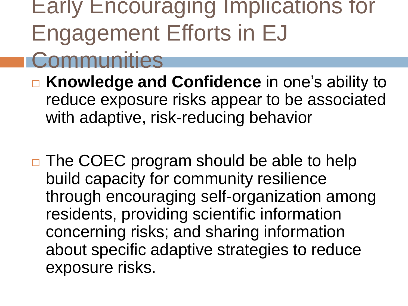### Early Encouraging Implications for Engagement Efforts in EJ **Communities**

- **Knowledge and Confidence** in one's ability to reduce exposure risks appear to be associated with adaptive, risk-reducing behavior
- $\Box$  The COEC program should be able to help build capacity for community resilience through encouraging self-organization among residents, providing scientific information concerning risks; and sharing information about specific adaptive strategies to reduce exposure risks.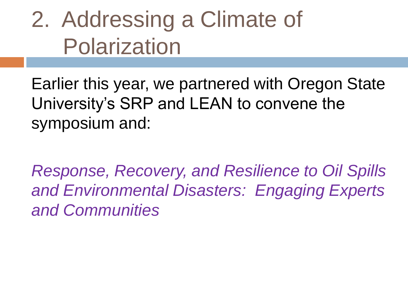2. Addressing a Climate of Polarization

Earlier this year, we partnered with Oregon State University's SRP and LEAN to convene the symposium and:

*Response, Recovery, and Resilience to Oil Spills and Environmental Disasters: Engaging Experts and Communities*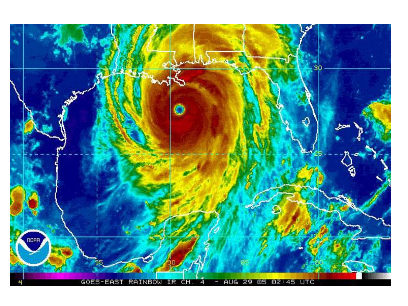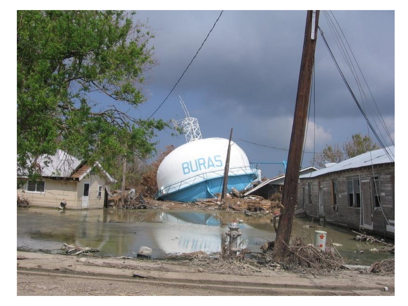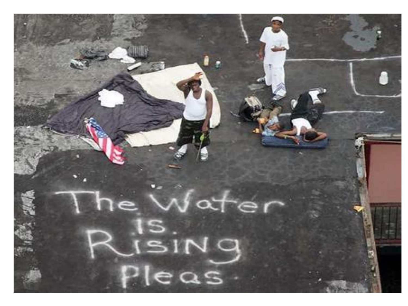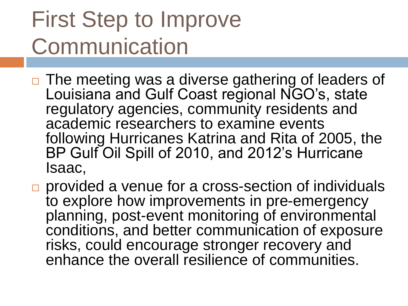### First Step to Improve **Communication**

- $\Box$  The meeting was a diverse gathering of leaders of Louisiana and Gulf Coast regional NGO's, state regulatory agencies, community residents and academic researchers to examine events following Hurricanes Katrina and Rita of 2005, the BP Gulf Oil Spill of 2010, and 2012's Hurricane Isaac,
- □ provided a venue for a cross-section of individuals to explore how improvements in pre-emergency planning, post-event monitoring of environmental conditions, and better communication of exposure risks, could encourage stronger recovery and enhance the overall resilience of communities.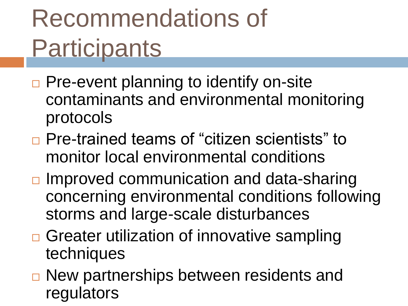# Recommendations of **Participants**

- □ Pre-event planning to identify on-site contaminants and environmental monitoring protocols
- □ Pre-trained teams of "citizen scientists" to monitor local environmental conditions
- $\Box$  Improved communication and data-sharing concerning environmental conditions following storms and large-scale disturbances
- $\Box$  Greater utilization of innovative sampling techniques
- □ New partnerships between residents and regulators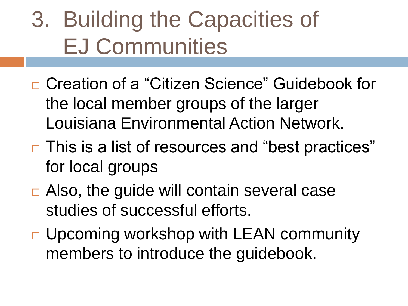### 3. Building the Capacities of EJ Communities

- □ Creation of a "Citizen Science" Guidebook for the local member groups of the larger Louisiana Environmental Action Network.
- $\Box$  This is a list of resources and "best practices" for local groups
- □ Also, the guide will contain several case studies of successful efforts.
- $\Box$  Upcoming workshop with LEAN community members to introduce the guidebook.